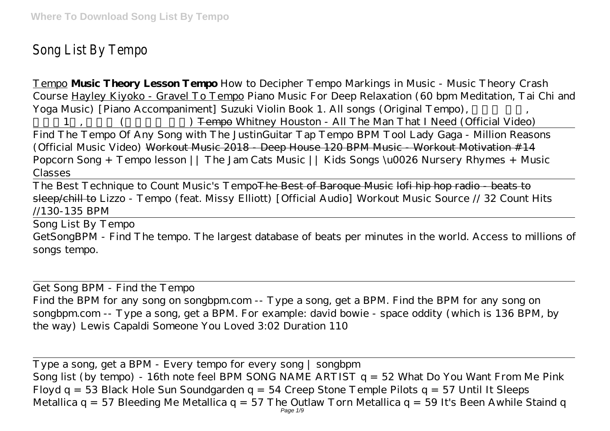## Song List By Tempo

Tempo **Music Theory Lesson Tempo** How to Decipher Tempo Markings in Music - Music Theory Crash Course Hayley Kiyoko - Gravel To Tempo Piano Music For Deep Relaxation (60 bpm Meditation, Tai Chi and Yoga Music) *[Piano Accompaniment] Suzuki Violin Book 1. All songs (Original Tempo)*, *)* Tempo *Whitney Houston - All The Man That I Need (Official Video)* Find The Tempo Of Any Song with The JustinGuitar Tap Tempo BPM Tool Lady Gaga - Million Reasons (Official Music Video) Workout Music 2018 - Deep House 120 BPM Music - Workout Motivation #14 *Popcorn Song + Tempo lesson || The Jam Cats Music || Kids Songs \u0026 Nursery Rhymes + Music Classes*

The Best Technique to Count Music's Tempo<del>The Best of Baroque Music lofi hip hop radio - beats to</del> sleep/chill to Lizzo - Tempo (feat. Missy Elliott) [Official Audio] Workout Music Source // 32 Count Hits //130-135 BPM

Song List By Tempo

GetSongBPM - Find The tempo. The largest database of beats per minutes in the world. Access to millions of songs tempo.

Get Song BPM - Find the Tempo Find the BPM for any song on songbpm.com -- Type a song, get a BPM. Find the BPM for any song on songbpm.com -- Type a song, get a BPM. For example: david bowie - space oddity (which is 136 BPM, by the way) Lewis Capaldi Someone You Loved 3:02 Duration 110

Type a song, get a BPM - Every tempo for every song | songbpm Song list (by tempo) - 16th note feel BPM SONG NAME ARTIST q = 52 What Do You Want From Me Pink Floyd q = 53 Black Hole Sun Soundgarden q = 54 Creep Stone Temple Pilots q = 57 Until It Sleeps Metallica q = 57 Bleeding Me Metallica q = 57 The Outlaw Torn Metallica q = 59 It's Been Awhile Staind q Page 1/9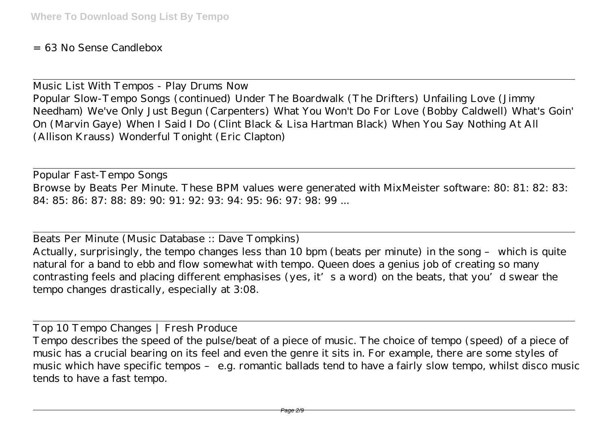= 63 No Sense Candlebox

Music List With Tempos - Play Drums Now Popular Slow-Tempo Songs (continued) Under The Boardwalk (The Drifters) Unfailing Love (Jimmy Needham) We've Only Just Begun (Carpenters) What You Won't Do For Love (Bobby Caldwell) What's Goin' On (Marvin Gaye) When I Said I Do (Clint Black & Lisa Hartman Black) When You Say Nothing At All (Allison Krauss) Wonderful Tonight (Eric Clapton)

Popular Fast-Tempo Songs Browse by Beats Per Minute. These BPM values were generated with MixMeister software: 80: 81: 82: 83: 84: 85: 86: 87: 88: 89: 90: 91: 92: 93: 94: 95: 96: 97: 98: 99 ...

Beats Per Minute (Music Database :: Dave Tompkins) Actually, surprisingly, the tempo changes less than 10 bpm (beats per minute) in the song – which is quite natural for a band to ebb and flow somewhat with tempo. Queen does a genius job of creating so many contrasting feels and placing different emphasises (yes, it's a word) on the beats, that you'd swear the tempo changes drastically, especially at 3:08.

Top 10 Tempo Changes | Fresh Produce

Tempo describes the speed of the pulse/beat of a piece of music. The choice of tempo (speed) of a piece of music has a crucial bearing on its feel and even the genre it sits in. For example, there are some styles of music which have specific tempos – e.g. romantic ballads tend to have a fairly slow tempo, whilst disco music tends to have a fast tempo.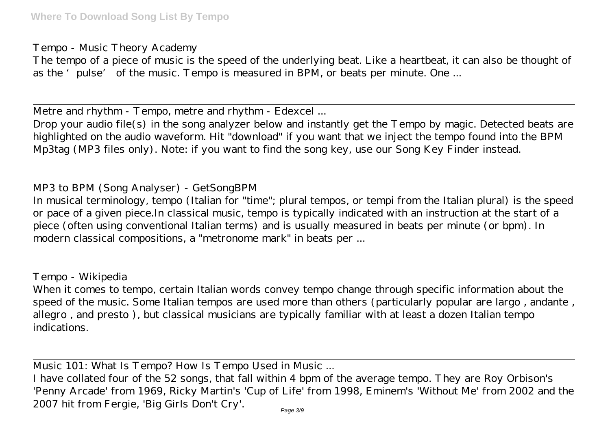Tempo - Music Theory Academy

The tempo of a piece of music is the speed of the underlying beat. Like a heartbeat, it can also be thought of as the 'pulse' of the music. Tempo is measured in BPM, or beats per minute. One ...

Metre and rhythm - Tempo, metre and rhythm - Edexcel ...

Drop your audio file(s) in the song analyzer below and instantly get the Tempo by magic. Detected beats are highlighted on the audio waveform. Hit "download" if you want that we inject the tempo found into the BPM Mp3tag (MP3 files only). Note: if you want to find the song key, use our Song Key Finder instead.

MP3 to BPM (Song Analyser) - GetSongBPM In musical terminology, tempo (Italian for "time"; plural tempos, or tempi from the Italian plural) is the speed or pace of a given piece.In classical music, tempo is typically indicated with an instruction at the start of a piece (often using conventional Italian terms) and is usually measured in beats per minute (or bpm). In modern classical compositions, a "metronome mark" in beats per ...

Tempo - Wikipedia

When it comes to tempo, certain Italian words convey tempo change through specific information about the speed of the music. Some Italian tempos are used more than others (particularly popular are largo , andante , allegro , and presto ), but classical musicians are typically familiar with at least a dozen Italian tempo indications.

Music 101: What Is Tempo? How Is Tempo Used in Music ...

I have collated four of the 52 songs, that fall within 4 bpm of the average tempo. They are Roy Orbison's 'Penny Arcade' from 1969, Ricky Martin's 'Cup of Life' from 1998, Eminem's 'Without Me' from 2002 and the 2007 hit from Fergie, 'Big Girls Don't Cry'.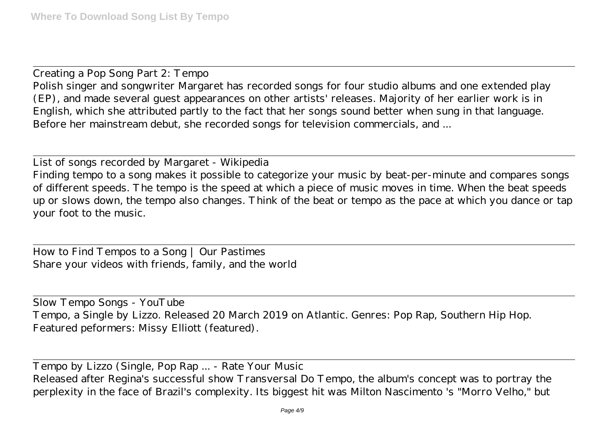Creating a Pop Song Part 2: Tempo Polish singer and songwriter Margaret has recorded songs for four studio albums and one extended play (EP), and made several guest appearances on other artists' releases. Majority of her earlier work is in English, which she attributed partly to the fact that her songs sound better when sung in that language. Before her mainstream debut, she recorded songs for television commercials, and ...

List of songs recorded by Margaret - Wikipedia Finding tempo to a song makes it possible to categorize your music by beat-per-minute and compares songs of different speeds. The tempo is the speed at which a piece of music moves in time. When the beat speeds up or slows down, the tempo also changes. Think of the beat or tempo as the pace at which you dance or tap your foot to the music.

How to Find Tempos to a Song | Our Pastimes Share your videos with friends, family, and the world

Slow Tempo Songs - YouTube Tempo, a Single by Lizzo. Released 20 March 2019 on Atlantic. Genres: Pop Rap, Southern Hip Hop. Featured peformers: Missy Elliott (featured).

Tempo by Lizzo (Single, Pop Rap ... - Rate Your Music Released after Regina's successful show Transversal Do Tempo, the album's concept was to portray the perplexity in the face of Brazil's complexity. Its biggest hit was Milton Nascimento 's "Morro Velho," but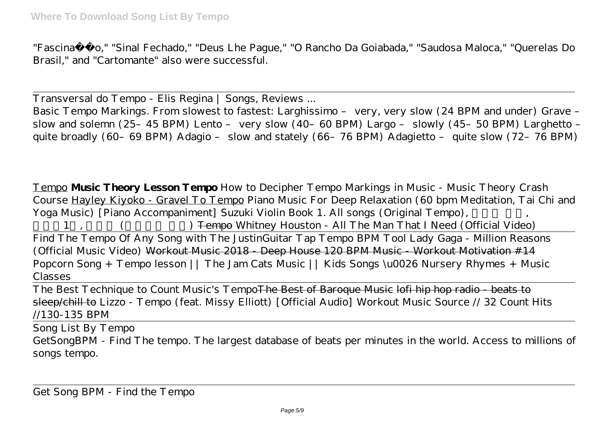"Fascinação," "Sinal Fechado," "Deus Lhe Pague," "O Rancho Da Goiabada," "Saudosa Maloca," "Querelas Do Brasil," and "Cartomante" also were successful.

Transversal do Tempo - Elis Regina | Songs, Reviews ...

Basic Tempo Markings. From slowest to fastest: Larghissimo – very, very slow (24 BPM and under) Grave – slow and solemn (25–45 BPM) Lento – very slow (40–60 BPM) Largo – slowly (45–50 BPM) Larghetto – quite broadly (60–69 BPM) Adagio – slow and stately (66–76 BPM) Adagietto – quite slow (72–76 BPM)

Tempo **Music Theory Lesson Tempo** How to Decipher Tempo Markings in Music - Music Theory Crash Course Hayley Kiyoko - Gravel To Tempo Piano Music For Deep Relaxation (60 bpm Meditation, Tai Chi and Yoga Music) [Piano Accompaniment] Suzuki Violin Book 1. All songs (Original Tempo), *스즈키1권, 모든곡 (오리지널 템포)* Tempo *Whitney Houston - All The Man That I Need (Official Video)* Find The Tempo Of Any Song with The JustinGuitar Tap Tempo BPM Tool Lady Gaga - Million Reasons (Official Music Video) Workout Music 2018 - Deep House 120 BPM Music - Workout Motivation #14 *Popcorn Song + Tempo lesson || The Jam Cats Music || Kids Songs \u0026 Nursery Rhymes + Music Classes*

The Best Technique to Count Music's TempoThe Best of Baroque Music lofi hip hop radio - beats to sleep/chill to Lizzo - Tempo (feat. Missy Elliott) [Official Audio] Workout Music Source // 32 Count Hits //130-135 BPM

Song List By Tempo

GetSongBPM - Find The tempo. The largest database of beats per minutes in the world. Access to millions of songs tempo.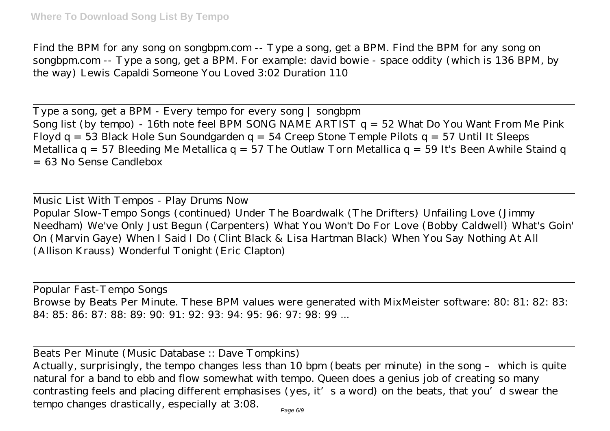Find the BPM for any song on songbpm.com -- Type a song, get a BPM. Find the BPM for any song on songbpm.com -- Type a song, get a BPM. For example: david bowie - space oddity (which is 136 BPM, by the way) Lewis Capaldi Someone You Loved 3:02 Duration 110

Type a song, get a BPM - Every tempo for every song | songbpm Song list (by tempo) - 16th note feel BPM SONG NAME ARTIST  $q = 52$  What Do You Want From Me Pink Floyd q = 53 Black Hole Sun Soundgarden q = 54 Creep Stone Temple Pilots q = 57 Until It Sleeps Metallica q = 57 Bleeding Me Metallica q = 57 The Outlaw Torn Metallica q = 59 It's Been Awhile Staind q = 63 No Sense Candlebox

Music List With Tempos - Play Drums Now Popular Slow-Tempo Songs (continued) Under The Boardwalk (The Drifters) Unfailing Love (Jimmy Needham) We've Only Just Begun (Carpenters) What You Won't Do For Love (Bobby Caldwell) What's Goin' On (Marvin Gaye) When I Said I Do (Clint Black & Lisa Hartman Black) When You Say Nothing At All (Allison Krauss) Wonderful Tonight (Eric Clapton)

Popular Fast-Tempo Songs Browse by Beats Per Minute. These BPM values were generated with MixMeister software: 80: 81: 82: 83: 84: 85: 86: 87: 88: 89: 90: 91: 92: 93: 94: 95: 96: 97: 98: 99 ...

Beats Per Minute (Music Database :: Dave Tompkins)

Actually, surprisingly, the tempo changes less than 10 bpm (beats per minute) in the song – which is quite natural for a band to ebb and flow somewhat with tempo. Queen does a genius job of creating so many contrasting feels and placing different emphasises (yes, it's a word) on the beats, that you'd swear the tempo changes drastically, especially at 3:08.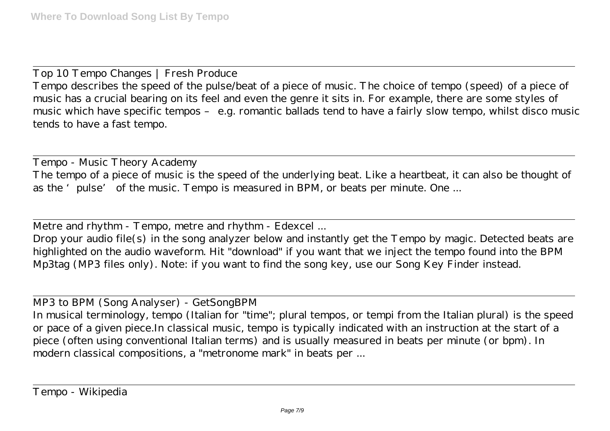Top 10 Tempo Changes | Fresh Produce Tempo describes the speed of the pulse/beat of a piece of music. The choice of tempo (speed) of a piece of music has a crucial bearing on its feel and even the genre it sits in. For example, there are some styles of music which have specific tempos – e.g. romantic ballads tend to have a fairly slow tempo, whilst disco music tends to have a fast tempo.

Tempo - Music Theory Academy The tempo of a piece of music is the speed of the underlying beat. Like a heartbeat, it can also be thought of as the 'pulse' of the music. Tempo is measured in BPM, or beats per minute. One ...

Metre and rhythm - Tempo, metre and rhythm - Edexcel ...

Drop your audio file(s) in the song analyzer below and instantly get the Tempo by magic. Detected beats are highlighted on the audio waveform. Hit "download" if you want that we inject the tempo found into the BPM Mp3tag (MP3 files only). Note: if you want to find the song key, use our Song Key Finder instead.

MP3 to BPM (Song Analyser) - GetSongBPM

In musical terminology, tempo (Italian for "time"; plural tempos, or tempi from the Italian plural) is the speed or pace of a given piece.In classical music, tempo is typically indicated with an instruction at the start of a piece (often using conventional Italian terms) and is usually measured in beats per minute (or bpm). In modern classical compositions, a "metronome mark" in beats per ...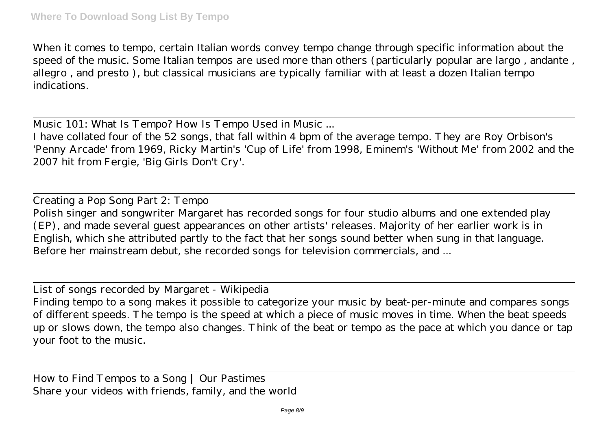When it comes to tempo, certain Italian words convey tempo change through specific information about the speed of the music. Some Italian tempos are used more than others (particularly popular are largo , andante , allegro , and presto ), but classical musicians are typically familiar with at least a dozen Italian tempo indications.

Music 101: What Is Tempo? How Is Tempo Used in Music ...

I have collated four of the 52 songs, that fall within 4 bpm of the average tempo. They are Roy Orbison's 'Penny Arcade' from 1969, Ricky Martin's 'Cup of Life' from 1998, Eminem's 'Without Me' from 2002 and the 2007 hit from Fergie, 'Big Girls Don't Cry'.

Creating a Pop Song Part 2: Tempo Polish singer and songwriter Margaret has recorded songs for four studio albums and one extended play (EP), and made several guest appearances on other artists' releases. Majority of her earlier work is in English, which she attributed partly to the fact that her songs sound better when sung in that language. Before her mainstream debut, she recorded songs for television commercials, and ...

List of songs recorded by Margaret - Wikipedia

Finding tempo to a song makes it possible to categorize your music by beat-per-minute and compares songs of different speeds. The tempo is the speed at which a piece of music moves in time. When the beat speeds up or slows down, the tempo also changes. Think of the beat or tempo as the pace at which you dance or tap your foot to the music.

How to Find Tempos to a Song | Our Pastimes Share your videos with friends, family, and the world